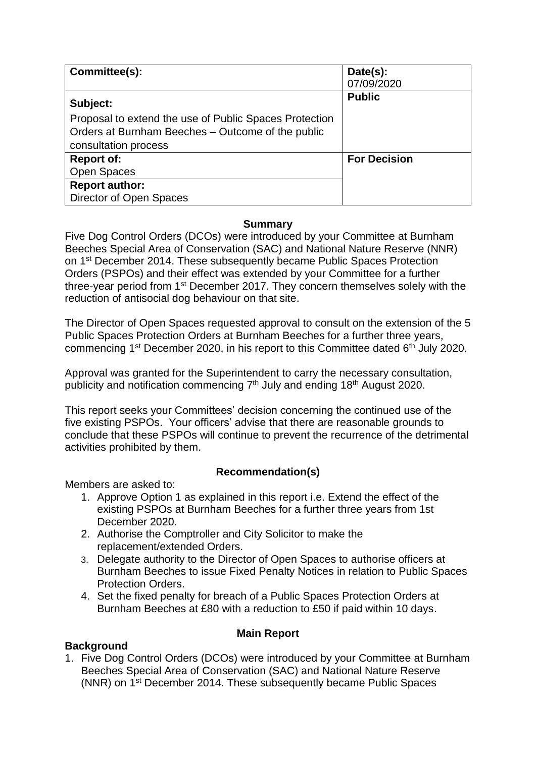| Committee(s):                                          | Date(s):            |
|--------------------------------------------------------|---------------------|
|                                                        | 07/09/2020          |
| Subject:                                               | <b>Public</b>       |
| Proposal to extend the use of Public Spaces Protection |                     |
| Orders at Burnham Beeches - Outcome of the public      |                     |
| consultation process                                   |                     |
| <b>Report of:</b>                                      | <b>For Decision</b> |
| <b>Open Spaces</b>                                     |                     |
| <b>Report author:</b>                                  |                     |
| Director of Open Spaces                                |                     |

### **Summary**

Five Dog Control Orders (DCOs) were introduced by your Committee at Burnham Beeches Special Area of Conservation (SAC) and National Nature Reserve (NNR) on 1st December 2014. These subsequently became Public Spaces Protection Orders (PSPOs) and their effect was extended by your Committee for a further three-year period from 1st December 2017. They concern themselves solely with the reduction of antisocial dog behaviour on that site.

The Director of Open Spaces requested approval to consult on the extension of the 5 Public Spaces Protection Orders at Burnham Beeches for a further three years, commencing  $1<sup>st</sup>$  December 2020, in his report to this Committee dated  $6<sup>th</sup>$  July 2020.

Approval was granted for the Superintendent to carry the necessary consultation, publicity and notification commencing 7<sup>th</sup> July and ending 18<sup>th</sup> August 2020.

This report seeks your Committees' decision concerning the continued use of the five existing PSPOs. Your officers' advise that there are reasonable grounds to conclude that these PSPOs will continue to prevent the recurrence of the detrimental activities prohibited by them.

# **Recommendation(s)**

Members are asked to:

- 1. Approve Option 1 as explained in this report i.e. Extend the effect of the existing PSPOs at Burnham Beeches for a further three years from 1st December 2020.
- 2. Authorise the Comptroller and City Solicitor to make the replacement/extended Orders.
- 3. Delegate authority to the Director of Open Spaces to authorise officers at Burnham Beeches to issue Fixed Penalty Notices in relation to Public Spaces Protection Orders.
- 4. Set the fixed penalty for breach of a Public Spaces Protection Orders at Burnham Beeches at £80 with a reduction to £50 if paid within 10 days.

#### **Main Report**

# **Background**

1. Five Dog Control Orders (DCOs) were introduced by your Committee at Burnham Beeches Special Area of Conservation (SAC) and National Nature Reserve (NNR) on 1st December 2014. These subsequently became Public Spaces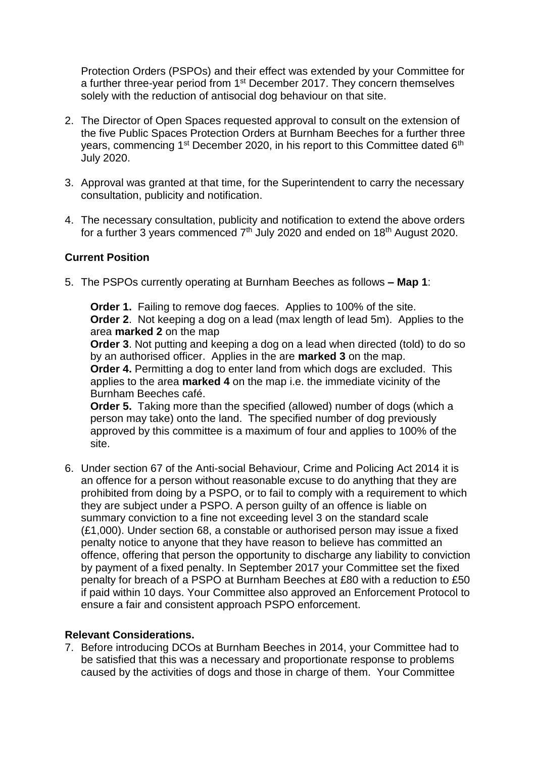Protection Orders (PSPOs) and their effect was extended by your Committee for a further three-year period from 1<sup>st</sup> December 2017. They concern themselves solely with the reduction of antisocial dog behaviour on that site.

- 2. The Director of Open Spaces requested approval to consult on the extension of the five Public Spaces Protection Orders at Burnham Beeches for a further three years, commencing 1<sup>st</sup> December 2020, in his report to this Committee dated 6<sup>th</sup> July 2020.
- 3. Approval was granted at that time, for the Superintendent to carry the necessary consultation, publicity and notification.
- 4. The necessary consultation, publicity and notification to extend the above orders for a further 3 years commenced  $7<sup>th</sup>$  July 2020 and ended on 18<sup>th</sup> August 2020.

#### **Current Position**

5. The PSPOs currently operating at Burnham Beeches as follows **– Map 1**:

**Order 1.** Failing to remove dog faeces. Applies to 100% of the site. **Order 2**. Not keeping a dog on a lead (max length of lead 5m). Applies to the area **marked 2** on the map

**Order 3**. Not putting and keeping a dog on a lead when directed (told) to do so by an authorised officer. Applies in the are **marked 3** on the map.

**Order 4.** Permitting a dog to enter land from which dogs are excluded. This applies to the area **marked 4** on the map i.e. the immediate vicinity of the Burnham Beeches café.

**Order 5.** Taking more than the specified (allowed) number of dogs (which a person may take) onto the land. The specified number of dog previously approved by this committee is a maximum of four and applies to 100% of the site.

6. Under section 67 of the Anti-social Behaviour, Crime and Policing Act 2014 it is an offence for a person without reasonable excuse to do anything that they are prohibited from doing by a PSPO, or to fail to comply with a requirement to which they are subject under a PSPO. A person guilty of an offence is liable on summary conviction to a fine not exceeding level 3 on the standard scale (£1,000). Under section 68, a constable or authorised person may issue a fixed penalty notice to anyone that they have reason to believe has committed an offence, offering that person the opportunity to discharge any liability to conviction by payment of a fixed penalty. In September 2017 your Committee set the fixed penalty for breach of a PSPO at Burnham Beeches at £80 with a reduction to £50 if paid within 10 days. Your Committee also approved an Enforcement Protocol to ensure a fair and consistent approach PSPO enforcement.

#### **Relevant Considerations.**

7. Before introducing DCOs at Burnham Beeches in 2014, your Committee had to be satisfied that this was a necessary and proportionate response to problems caused by the activities of dogs and those in charge of them. Your Committee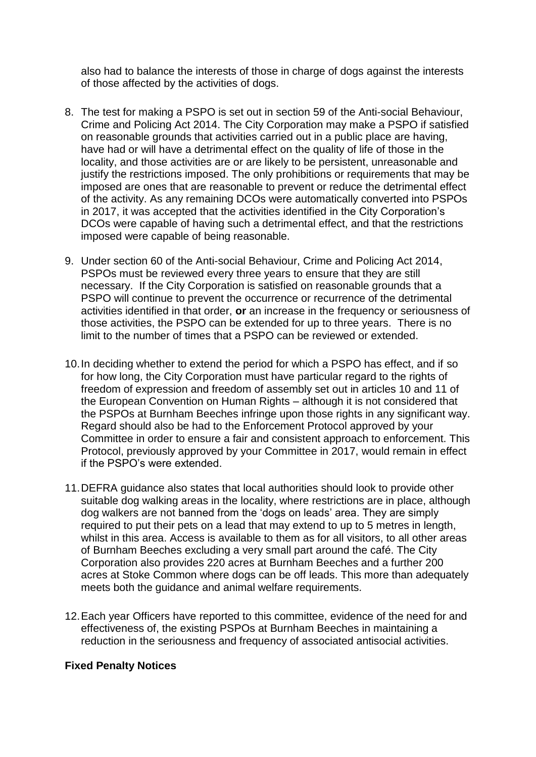also had to balance the interests of those in charge of dogs against the interests of those affected by the activities of dogs.

- 8. The test for making a PSPO is set out in section 59 of the Anti-social Behaviour, Crime and Policing Act 2014. The City Corporation may make a PSPO if satisfied on reasonable grounds that activities carried out in a public place are having, have had or will have a detrimental effect on the quality of life of those in the locality, and those activities are or are likely to be persistent, unreasonable and justify the restrictions imposed. The only prohibitions or requirements that may be imposed are ones that are reasonable to prevent or reduce the detrimental effect of the activity. As any remaining DCOs were automatically converted into PSPOs in 2017, it was accepted that the activities identified in the City Corporation's DCOs were capable of having such a detrimental effect, and that the restrictions imposed were capable of being reasonable.
- 9. Under section 60 of the Anti-social Behaviour, Crime and Policing Act 2014, PSPOs must be reviewed every three years to ensure that they are still necessary. If the City Corporation is satisfied on reasonable grounds that a PSPO will continue to prevent the occurrence or recurrence of the detrimental activities identified in that order, **or** an increase in the frequency or seriousness of those activities, the PSPO can be extended for up to three years. There is no limit to the number of times that a PSPO can be reviewed or extended.
- 10.In deciding whether to extend the period for which a PSPO has effect, and if so for how long, the City Corporation must have particular regard to the rights of freedom of expression and freedom of assembly set out in articles 10 and 11 of the European Convention on Human Rights – although it is not considered that the PSPOs at Burnham Beeches infringe upon those rights in any significant way. Regard should also be had to the Enforcement Protocol approved by your Committee in order to ensure a fair and consistent approach to enforcement. This Protocol, previously approved by your Committee in 2017, would remain in effect if the PSPO's were extended.
- 11.DEFRA guidance also states that local authorities should look to provide other suitable dog walking areas in the locality, where restrictions are in place, although dog walkers are not banned from the 'dogs on leads' area. They are simply required to put their pets on a lead that may extend to up to 5 metres in length, whilst in this area. Access is available to them as for all visitors, to all other areas of Burnham Beeches excluding a very small part around the café. The City Corporation also provides 220 acres at Burnham Beeches and a further 200 acres at Stoke Common where dogs can be off leads. This more than adequately meets both the guidance and animal welfare requirements.
- 12.Each year Officers have reported to this committee, evidence of the need for and effectiveness of, the existing PSPOs at Burnham Beeches in maintaining a reduction in the seriousness and frequency of associated antisocial activities.

#### **Fixed Penalty Notices**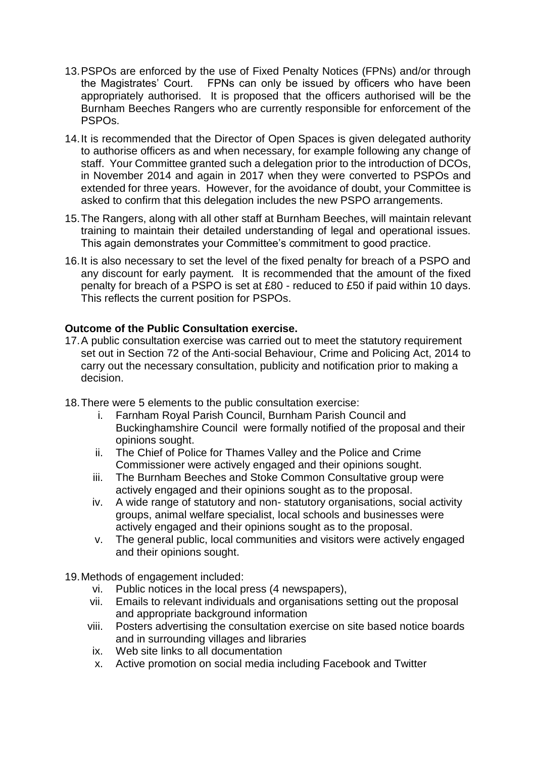- 13.PSPOs are enforced by the use of Fixed Penalty Notices (FPNs) and/or through the Magistrates' Court. FPNs can only be issued by officers who have been appropriately authorised. It is proposed that the officers authorised will be the Burnham Beeches Rangers who are currently responsible for enforcement of the PSPOs.
- 14.It is recommended that the Director of Open Spaces is given delegated authority to authorise officers as and when necessary, for example following any change of staff. Your Committee granted such a delegation prior to the introduction of DCOs, in November 2014 and again in 2017 when they were converted to PSPOs and extended for three years. However, for the avoidance of doubt, your Committee is asked to confirm that this delegation includes the new PSPO arrangements.
- 15.The Rangers, along with all other staff at Burnham Beeches, will maintain relevant training to maintain their detailed understanding of legal and operational issues. This again demonstrates your Committee's commitment to good practice.
- 16.It is also necessary to set the level of the fixed penalty for breach of a PSPO and any discount for early payment*.* It is recommended that the amount of the fixed penalty for breach of a PSPO is set at £80 - reduced to £50 if paid within 10 days. This reflects the current position for PSPOs.

# **Outcome of the Public Consultation exercise.**

- 17.A public consultation exercise was carried out to meet the statutory requirement set out in Section 72 of the Anti-social Behaviour, Crime and Policing Act, 2014 to carry out the necessary consultation, publicity and notification prior to making a decision.
- 18.There were 5 elements to the public consultation exercise:
	- i. Farnham Royal Parish Council, Burnham Parish Council and Buckinghamshire Council were formally notified of the proposal and their opinions sought.
	- ii. The Chief of Police for Thames Valley and the Police and Crime Commissioner were actively engaged and their opinions sought.
	- iii. The Burnham Beeches and Stoke Common Consultative group were actively engaged and their opinions sought as to the proposal.
	- iv. A wide range of statutory and non- statutory organisations, social activity groups, animal welfare specialist, local schools and businesses were actively engaged and their opinions sought as to the proposal.
	- v. The general public, local communities and visitors were actively engaged and their opinions sought.

19.Methods of engagement included:

- vi. Public notices in the local press (4 newspapers),
- vii. Emails to relevant individuals and organisations setting out the proposal and appropriate background information
- viii. Posters advertising the consultation exercise on site based notice boards and in surrounding villages and libraries
- ix. Web site links to all documentation
- x. Active promotion on social media including Facebook and Twitter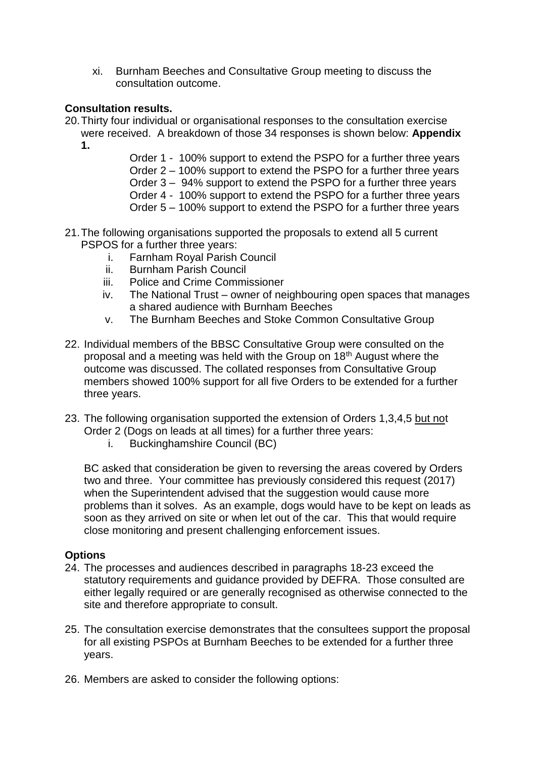xi. Burnham Beeches and Consultative Group meeting to discuss the consultation outcome.

### **Consultation results.**

20.Thirty four individual or organisational responses to the consultation exercise were received. A breakdown of those 34 responses is shown below: **Appendix 1.**

> Order 1 - 100% support to extend the PSPO for a further three years Order 2 – 100% support to extend the PSPO for a further three years Order 3 – 94% support to extend the PSPO for a further three years Order 4 - 100% support to extend the PSPO for a further three years Order 5 – 100% support to extend the PSPO for a further three years

- 21.The following organisations supported the proposals to extend all 5 current PSPOS for a further three years:
	- i. Farnham Royal Parish Council
	- ii. Burnham Parish Council
	- iii. Police and Crime Commissioner
	- iv. The National Trust owner of neighbouring open spaces that manages a shared audience with Burnham Beeches
	- v. The Burnham Beeches and Stoke Common Consultative Group
- 22. Individual members of the BBSC Consultative Group were consulted on the proposal and a meeting was held with the Group on 18th August where the outcome was discussed. The collated responses from Consultative Group members showed 100% support for all five Orders to be extended for a further three years.
- 23. The following organisation supported the extension of Orders 1,3,4,5 but not Order 2 (Dogs on leads at all times) for a further three years:
	- i. Buckinghamshire Council (BC)

BC asked that consideration be given to reversing the areas covered by Orders two and three. Your committee has previously considered this request (2017) when the Superintendent advised that the suggestion would cause more problems than it solves. As an example, dogs would have to be kept on leads as soon as they arrived on site or when let out of the car. This that would require close monitoring and present challenging enforcement issues.

# **Options**

- 24. The processes and audiences described in paragraphs 18-23 exceed the statutory requirements and guidance provided by DEFRA. Those consulted are either legally required or are generally recognised as otherwise connected to the site and therefore appropriate to consult.
- 25. The consultation exercise demonstrates that the consultees support the proposal for all existing PSPOs at Burnham Beeches to be extended for a further three years.
- 26. Members are asked to consider the following options: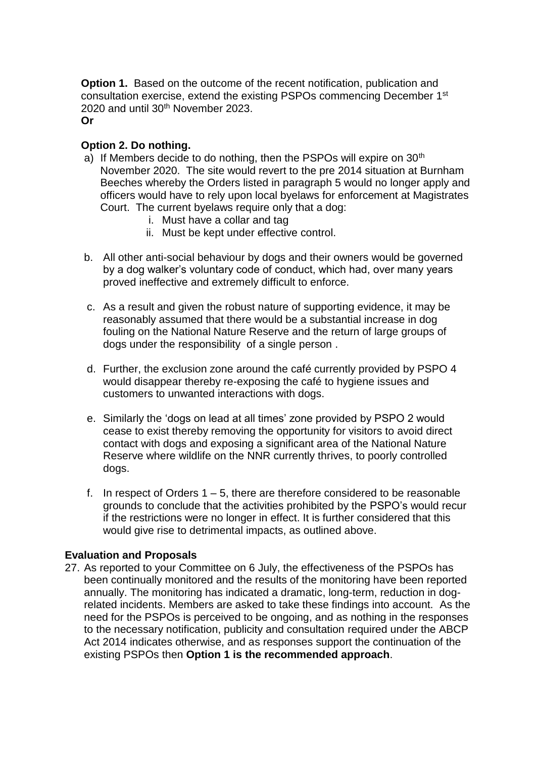**Option 1.** Based on the outcome of the recent notification, publication and consultation exercise, extend the existing PSPOs commencing December 1st 2020 and until 30th November 2023.

**Or**

### **Option 2. Do nothing.**

- a) If Members decide to do nothing, then the PSPOs will expire on 30<sup>th</sup> November 2020. The site would revert to the pre 2014 situation at Burnham Beeches whereby the Orders listed in paragraph 5 would no longer apply and officers would have to rely upon local byelaws for enforcement at Magistrates Court. The current byelaws require only that a dog:
	- i. Must have a collar and tag
	- ii. Must be kept under effective control.
- b. All other anti-social behaviour by dogs and their owners would be governed by a dog walker's voluntary code of conduct, which had, over many years proved ineffective and extremely difficult to enforce.
- c. As a result and given the robust nature of supporting evidence, it may be reasonably assumed that there would be a substantial increase in dog fouling on the National Nature Reserve and the return of large groups of dogs under the responsibility of a single person .
- d. Further, the exclusion zone around the café currently provided by PSPO 4 would disappear thereby re-exposing the café to hygiene issues and customers to unwanted interactions with dogs.
- e. Similarly the 'dogs on lead at all times' zone provided by PSPO 2 would cease to exist thereby removing the opportunity for visitors to avoid direct contact with dogs and exposing a significant area of the National Nature Reserve where wildlife on the NNR currently thrives, to poorly controlled dogs.
- f. In respect of Orders  $1 5$ , there are therefore considered to be reasonable grounds to conclude that the activities prohibited by the PSPO's would recur if the restrictions were no longer in effect. It is further considered that this would give rise to detrimental impacts, as outlined above.

#### **Evaluation and Proposals**

27. As reported to your Committee on 6 July, the effectiveness of the PSPOs has been continually monitored and the results of the monitoring have been reported annually. The monitoring has indicated a dramatic, long-term, reduction in dogrelated incidents. Members are asked to take these findings into account. As the need for the PSPOs is perceived to be ongoing, and as nothing in the responses to the necessary notification, publicity and consultation required under the ABCP Act 2014 indicates otherwise, and as responses support the continuation of the existing PSPOs then **Option 1 is the recommended approach**.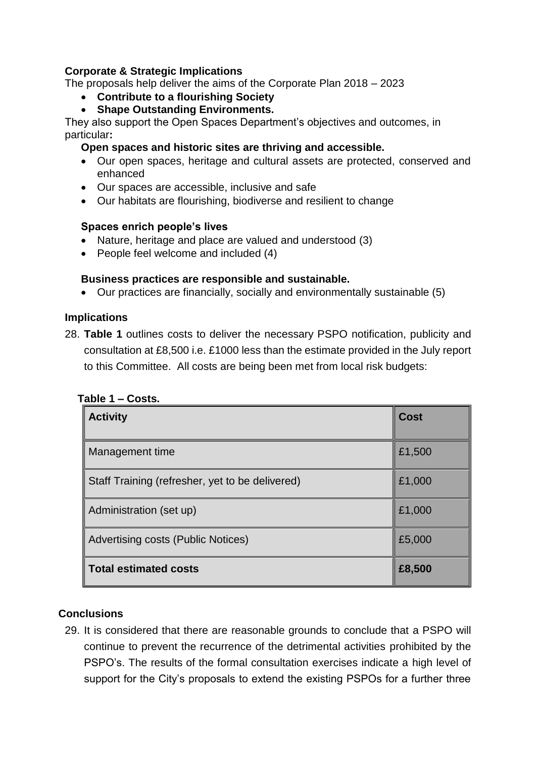### **Corporate & Strategic Implications**

The proposals help deliver the aims of the Corporate Plan 2018 – 2023

- **Contribute to a flourishing Society**
- **Shape Outstanding Environments.**

They also support the Open Spaces Department's objectives and outcomes, in particular**:**

### **Open spaces and historic sites are thriving and accessible.**

- Our open spaces, heritage and cultural assets are protected, conserved and enhanced
- Our spaces are accessible, inclusive and safe
- Our habitats are flourishing, biodiverse and resilient to change

#### **Spaces enrich people's lives**

- Nature, heritage and place are valued and understood (3)
- People feel welcome and included (4)

### **Business practices are responsible and sustainable.**

• Our practices are financially, socially and environmentally sustainable (5)

#### **Implications**

28. **Table 1** outlines costs to deliver the necessary PSPO notification, publicity and consultation at £8,500 i.e. £1000 less than the estimate provided in the July report to this Committee. All costs are being been met from local risk budgets:

| <b>Activity</b>                                 | <b>Cost</b> |
|-------------------------------------------------|-------------|
| Management time                                 | £1,500      |
| Staff Training (refresher, yet to be delivered) | £1,000      |
| Administration (set up)                         | £1,000      |
| <b>Advertising costs (Public Notices)</b>       | £5,000      |
| <b>Total estimated costs</b>                    | £8,500      |

|--|

# **Conclusions**

29. It is considered that there are reasonable grounds to conclude that a PSPO will continue to prevent the recurrence of the detrimental activities prohibited by the PSPO's. The results of the formal consultation exercises indicate a high level of support for the City's proposals to extend the existing PSPOs for a further three